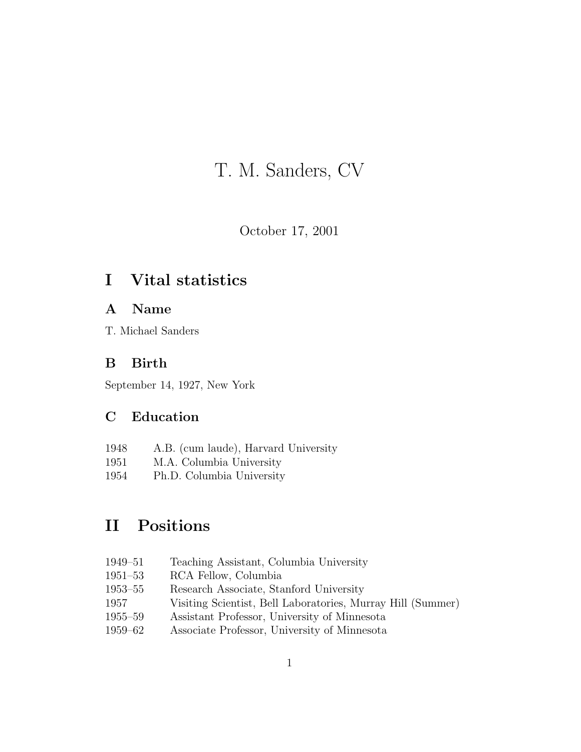# T. M. Sanders, CV

October 17, 2001

## I Vital statistics

### A Name

T. Michael Sanders

### B Birth

September 14, 1927, New York

### C Education

- 1948 A.B. (cum laude), Harvard University
- 1951 M.A. Columbia University
- 1954 Ph.D. Columbia University

## II Positions

- 1949–51 Teaching Assistant, Columbia University
- 1951–53 RCA Fellow, Columbia
- 1953–55 Research Associate, Stanford University
- 1957 Visiting Scientist, Bell Laboratories, Murray Hill (Summer)
- 1955–59 Assistant Professor, University of Minnesota
- 1959–62 Associate Professor, University of Minnesota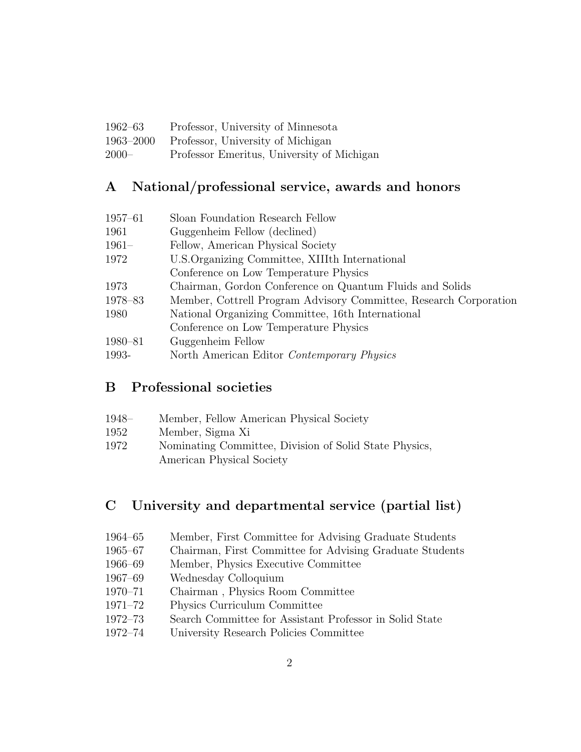| 1962–63   | Professor, University of Minnesota         |
|-----------|--------------------------------------------|
| 1963–2000 | Professor, University of Michigan          |
| $2000-$   | Professor Emeritus, University of Michigan |

## A National/professional service, awards and honors

| $1957 - 61$ | Sloan Foundation Research Fellow                                  |
|-------------|-------------------------------------------------------------------|
| 1961        | Guggenheim Fellow (declined)                                      |
| $1961-$     | Fellow, American Physical Society                                 |
| 1972        | U.S. Organizing Committee, XIIIth International                   |
|             | Conference on Low Temperature Physics                             |
| 1973        | Chairman, Gordon Conference on Quantum Fluids and Solids          |
| 1978-83     | Member, Cottrell Program Advisory Committee, Research Corporation |
| 1980        | National Organizing Committee, 16th International                 |
|             | Conference on Low Temperature Physics                             |
| 1980-81     | Guggenheim Fellow                                                 |
| 1993-       | North American Editor Contemporary Physics                        |
|             |                                                                   |

### B Professional societies

| 1948– | Member, Fellow American Physical Society               |
|-------|--------------------------------------------------------|
| 1952  | Member, Sigma Xi                                       |
| 1972  | Nominating Committee, Division of Solid State Physics, |
|       | American Physical Society                              |

### C University and departmental service (partial list)

- 1964–65 Member, First Committee for Advising Graduate Students
- 1965–67 Chairman, First Committee for Advising Graduate Students
- 1966–69 Member, Physics Executive Committee
- 1967–69 Wednesday Colloquium
- 1970–71 Chairman , Physics Room Committee
- 1971–72 Physics Curriculum Committee
- 1972–73 Search Committee for Assistant Professor in Solid State
- 1972–74 University Research Policies Committee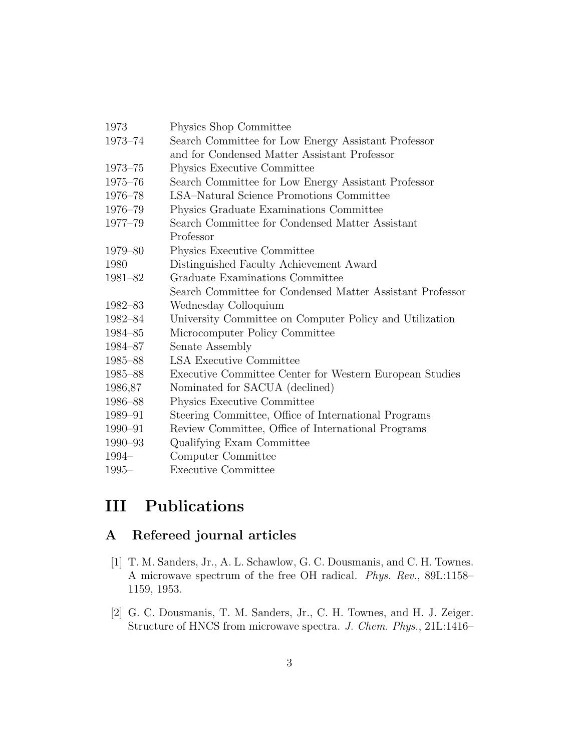| 1973        | Physics Shop Committee                                    |  |
|-------------|-----------------------------------------------------------|--|
| 1973-74     | Search Committee for Low Energy Assistant Professor       |  |
|             | and for Condensed Matter Assistant Professor              |  |
| $1973 - 75$ | Physics Executive Committee                               |  |
| 1975-76     | Search Committee for Low Energy Assistant Professor       |  |
| $1976 - 78$ | LSA-Natural Science Promotions Committee                  |  |
| 1976-79     | Physics Graduate Examinations Committee                   |  |
| 1977-79     | Search Committee for Condensed Matter Assistant           |  |
|             | Professor                                                 |  |
| 1979–80     | Physics Executive Committee                               |  |
| 1980        | Distinguished Faculty Achievement Award                   |  |
| 1981-82     | Graduate Examinations Committee                           |  |
|             | Search Committee for Condensed Matter Assistant Professor |  |
| 1982-83     | Wednesday Colloquium                                      |  |
| 1982–84     | University Committee on Computer Policy and Utilization   |  |
| 1984–85     | Microcomputer Policy Committee                            |  |
| 1984–87     | Senate Assembly                                           |  |
| 1985–88     | <b>LSA Executive Committee</b>                            |  |
| 1985–88     | Executive Committee Center for Western European Studies   |  |
| 1986,87     | Nominated for SACUA (declined)                            |  |
| 1986-88     | Physics Executive Committee                               |  |
| 1989-91     | Steering Committee, Office of International Programs      |  |
| 1990-91     | Review Committee, Office of International Programs        |  |
| 1990-93     | Qualifying Exam Committee                                 |  |
| 1994-       | Computer Committee                                        |  |
| $1995 -$    | <b>Executive Committee</b>                                |  |

## III Publications

## A Refereed journal articles

- [1] T. M. Sanders, Jr., A. L. Schawlow, G. C. Dousmanis, and C. H. Townes. A microwave spectrum of the free OH radical. Phys. Rev., 89L:1158– 1159, 1953.
- [2] G. C. Dousmanis, T. M. Sanders, Jr., C. H. Townes, and H. J. Zeiger. Structure of HNCS from microwave spectra. J. Chem. Phys., 21L:1416–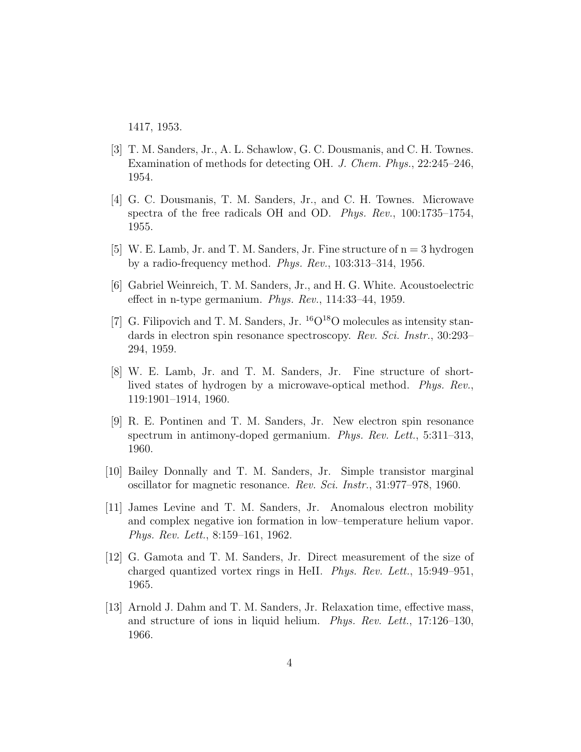1417, 1953.

- [3] T. M. Sanders, Jr., A. L. Schawlow, G. C. Dousmanis, and C. H. Townes. Examination of methods for detecting OH. J. Chem. Phys., 22:245–246, 1954.
- [4] G. C. Dousmanis, T. M. Sanders, Jr., and C. H. Townes. Microwave spectra of the free radicals OH and OD. Phys. Rev., 100:1735–1754, 1955.
- [5] W. E. Lamb, Jr. and T. M. Sanders, Jr. Fine structure of  $n = 3$  hydrogen by a radio-frequency method. Phys. Rev., 103:313–314, 1956.
- [6] Gabriel Weinreich, T. M. Sanders, Jr., and H. G. White. Acoustoelectric effect in n-type germanium. Phys. Rev., 114:33–44, 1959.
- [7] G. Filipovich and T. M. Sanders, Jr.  ${}^{16}O^{18}O$  molecules as intensity standards in electron spin resonance spectroscopy. Rev. Sci. Instr., 30:293-294, 1959.
- [8] W. E. Lamb, Jr. and T. M. Sanders, Jr. Fine structure of shortlived states of hydrogen by a microwave-optical method. Phys. Rev., 119:1901–1914, 1960.
- [9] R. E. Pontinen and T. M. Sanders, Jr. New electron spin resonance spectrum in antimony-doped germanium. Phys. Rev. Lett., 5:311–313, 1960.
- [10] Bailey Donnally and T. M. Sanders, Jr. Simple transistor marginal oscillator for magnetic resonance. Rev. Sci. Instr., 31:977–978, 1960.
- [11] James Levine and T. M. Sanders, Jr. Anomalous electron mobility and complex negative ion formation in low–temperature helium vapor. Phys. Rev. Lett., 8:159–161, 1962.
- [12] G. Gamota and T. M. Sanders, Jr. Direct measurement of the size of charged quantized vortex rings in HeII. Phys. Rev. Lett., 15:949–951, 1965.
- [13] Arnold J. Dahm and T. M. Sanders, Jr. Relaxation time, effective mass, and structure of ions in liquid helium. Phys. Rev. Lett., 17:126–130, 1966.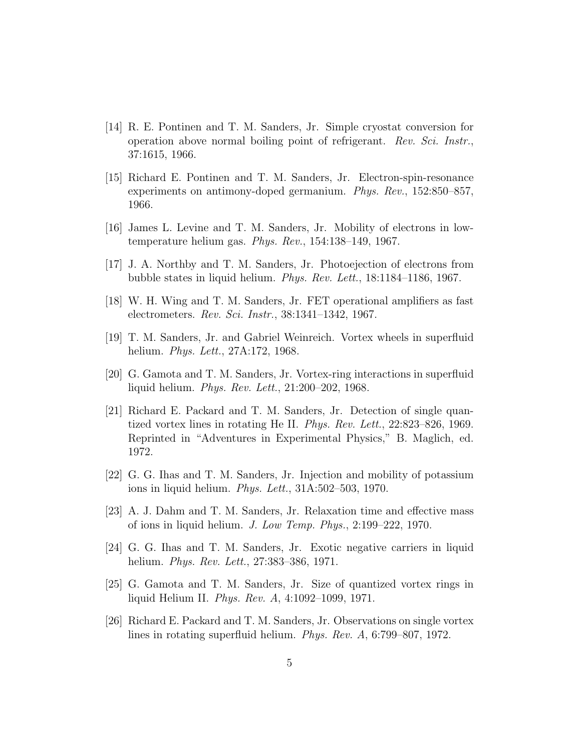- [14] R. E. Pontinen and T. M. Sanders, Jr. Simple cryostat conversion for operation above normal boiling point of refrigerant. Rev. Sci. Instr., 37:1615, 1966.
- [15] Richard E. Pontinen and T. M. Sanders, Jr. Electron-spin-resonance experiments on antimony-doped germanium. Phys. Rev., 152:850–857, 1966.
- [16] James L. Levine and T. M. Sanders, Jr. Mobility of electrons in lowtemperature helium gas. Phys. Rev., 154:138–149, 1967.
- [17] J. A. Northby and T. M. Sanders, Jr. Photoejection of electrons from bubble states in liquid helium. Phys. Rev. Lett., 18:1184–1186, 1967.
- [18] W. H. Wing and T. M. Sanders, Jr. FET operational amplifiers as fast electrometers. Rev. Sci. Instr., 38:1341–1342, 1967.
- [19] T. M. Sanders, Jr. and Gabriel Weinreich. Vortex wheels in superfluid helium. Phys. Lett., 27A:172, 1968.
- [20] G. Gamota and T. M. Sanders, Jr. Vortex-ring interactions in superfluid liquid helium. Phys. Rev. Lett., 21:200–202, 1968.
- [21] Richard E. Packard and T. M. Sanders, Jr. Detection of single quantized vortex lines in rotating He II. Phys. Rev. Lett., 22:823–826, 1969. Reprinted in "Adventures in Experimental Physics," B. Maglich, ed. 1972.
- [22] G. G. Ihas and T. M. Sanders, Jr. Injection and mobility of potassium ions in liquid helium. Phys. Lett., 31A:502–503, 1970.
- [23] A. J. Dahm and T. M. Sanders, Jr. Relaxation time and effective mass of ions in liquid helium. J. Low Temp. Phys., 2:199–222, 1970.
- [24] G. G. Ihas and T. M. Sanders, Jr. Exotic negative carriers in liquid helium. *Phys. Rev. Lett.*, 27:383–386, 1971.
- [25] G. Gamota and T. M. Sanders, Jr. Size of quantized vortex rings in liquid Helium II. Phys. Rev. A, 4:1092–1099, 1971.
- [26] Richard E. Packard and T. M. Sanders, Jr. Observations on single vortex lines in rotating superfluid helium. Phys. Rev. A, 6:799–807, 1972.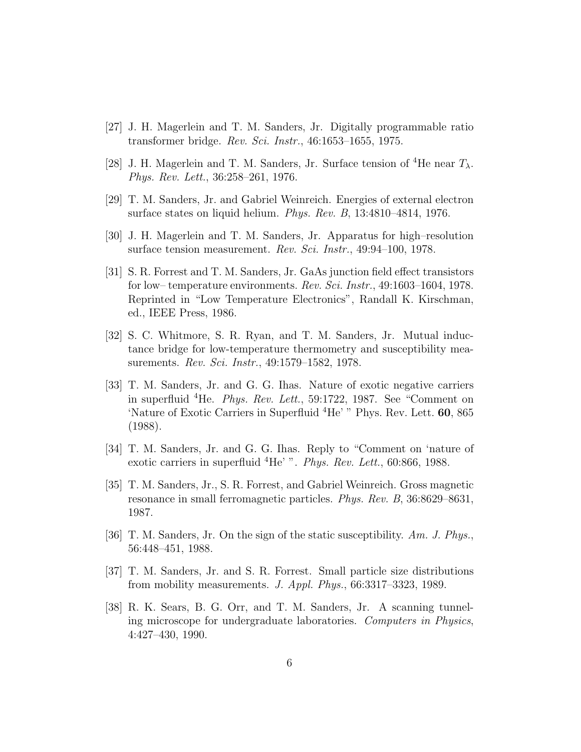- [27] J. H. Magerlein and T. M. Sanders, Jr. Digitally programmable ratio transformer bridge. Rev. Sci. Instr., 46:1653–1655, 1975.
- [28] J. H. Magerlein and T. M. Sanders, Jr. Surface tension of <sup>4</sup>He near  $T_{\lambda}$ . Phys. Rev. Lett., 36:258–261, 1976.
- [29] T. M. Sanders, Jr. and Gabriel Weinreich. Energies of external electron surface states on liquid helium. Phys. Rev. B, 13:4810–4814, 1976.
- [30] J. H. Magerlein and T. M. Sanders, Jr. Apparatus for high–resolution surface tension measurement. Rev. Sci. Instr., 49:94–100, 1978.
- [31] S. R. Forrest and T. M. Sanders, Jr. GaAs junction field effect transistors for low– temperature environments. Rev. Sci. Instr., 49:1603–1604, 1978. Reprinted in "Low Temperature Electronics", Randall K. Kirschman, ed., IEEE Press, 1986.
- [32] S. C. Whitmore, S. R. Ryan, and T. M. Sanders, Jr. Mutual inductance bridge for low-temperature thermometry and susceptibility measurements. Rev. Sci. Instr., 49:1579–1582, 1978.
- [33] T. M. Sanders, Jr. and G. G. Ihas. Nature of exotic negative carriers in superfluid <sup>4</sup>He. Phys. Rev. Lett., 59:1722, 1987. See "Comment on 'Nature of Exotic Carriers in Superfluid <sup>4</sup>He' " Phys. Rev. Lett. 60, 865 (1988).
- [34] T. M. Sanders, Jr. and G. G. Ihas. Reply to "Comment on 'nature of exotic carriers in superfluid  ${}^{4}$ He' ". Phys. Rev. Lett., 60:866, 1988.
- [35] T. M. Sanders, Jr., S. R. Forrest, and Gabriel Weinreich. Gross magnetic resonance in small ferromagnetic particles. Phys. Rev. B, 36:8629–8631, 1987.
- [36] T. M. Sanders, Jr. On the sign of the static susceptibility. Am. J. Phys., 56:448–451, 1988.
- [37] T. M. Sanders, Jr. and S. R. Forrest. Small particle size distributions from mobility measurements. J. Appl. Phys., 66:3317–3323, 1989.
- [38] R. K. Sears, B. G. Orr, and T. M. Sanders, Jr. A scanning tunneling microscope for undergraduate laboratories. Computers in Physics, 4:427–430, 1990.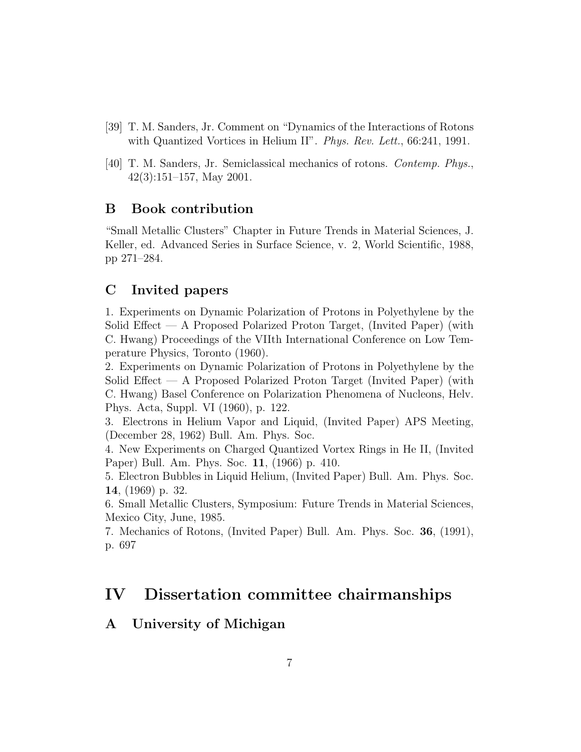- [39] T. M. Sanders, Jr. Comment on "Dynamics of the Interactions of Rotons with Quantized Vortices in Helium II". Phys. Rev. Lett., 66:241, 1991.
- [40] T. M. Sanders, Jr. Semiclassical mechanics of rotons. Contemp. Phys., 42(3):151–157, May 2001.

#### B Book contribution

"Small Metallic Clusters" Chapter in Future Trends in Material Sciences, J. Keller, ed. Advanced Series in Surface Science, v. 2, World Scientific, 1988, pp 271–284.

### C Invited papers

1. Experiments on Dynamic Polarization of Protons in Polyethylene by the Solid Effect — A Proposed Polarized Proton Target, (Invited Paper) (with C. Hwang) Proceedings of the VIIth International Conference on Low Temperature Physics, Toronto (1960).

2. Experiments on Dynamic Polarization of Protons in Polyethylene by the Solid Effect — A Proposed Polarized Proton Target (Invited Paper) (with C. Hwang) Basel Conference on Polarization Phenomena of Nucleons, Helv. Phys. Acta, Suppl. VI (1960), p. 122.

3. Electrons in Helium Vapor and Liquid, (Invited Paper) APS Meeting, (December 28, 1962) Bull. Am. Phys. Soc.

4. New Experiments on Charged Quantized Vortex Rings in He II, (Invited Paper) Bull. Am. Phys. Soc. 11, (1966) p. 410.

5. Electron Bubbles in Liquid Helium, (Invited Paper) Bull. Am. Phys. Soc. 14, (1969) p. 32.

6. Small Metallic Clusters, Symposium: Future Trends in Material Sciences, Mexico City, June, 1985.

7. Mechanics of Rotons, (Invited Paper) Bull. Am. Phys. Soc. 36, (1991), p. 697

### IV Dissertation committee chairmanships

### A University of Michigan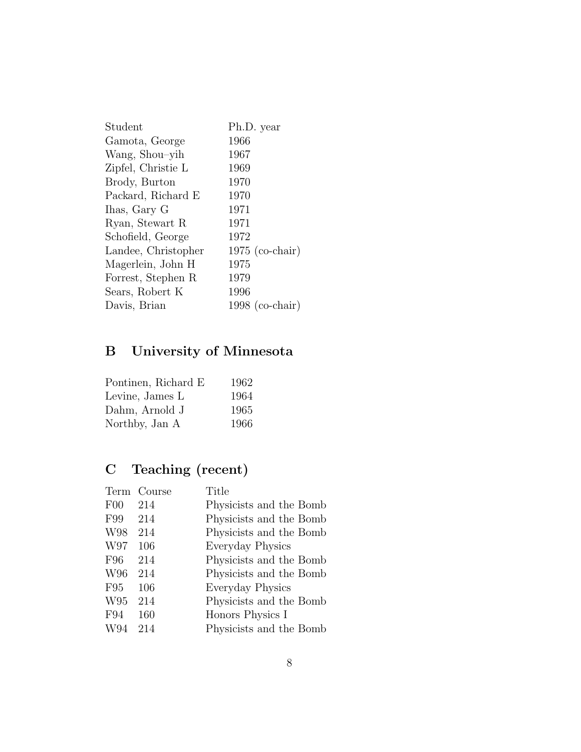| Student             | Ph.D. year        |
|---------------------|-------------------|
| Gamota, George      | 1966              |
| Wang, Shou-yih      | 1967              |
| Zipfel, Christie L  | 1969              |
| Brody, Burton       | 1970              |
| Packard, Richard E  | 1970              |
| Ihas, Gary G        | 1971              |
| Ryan, Stewart R     | 1971              |
| Schofield, George   | 1972              |
| Landee, Christopher | $1975$ (co-chair) |
| Magerlein, John H   | 1975              |
| Forrest, Stephen R  | 1979              |
| Sears, Robert K     | 1996              |
| Davis, Brian        | $1998$ (co-chair) |

# B University of Minnesota

| Pontinen, Richard E | 1962 |
|---------------------|------|
| Levine, James L     | 1964 |
| Dahm, Arnold J      | 1965 |
| Northby, Jan A      | 1966 |

# C Teaching (recent)

| Term | Course | Title                   |
|------|--------|-------------------------|
| F00  | 214    | Physicists and the Bomb |
| F99  | 214    | Physicists and the Bomb |
| W98  | 214    | Physicists and the Bomb |
| W97  | 106    | Everyday Physics        |
| F96  | 214    | Physicists and the Bomb |
| W96  | 214    | Physicists and the Bomb |
| F95  | 106    | Everyday Physics        |
| W95  | 214    | Physicists and the Bomb |
| F94  | 160    | Honors Physics I        |
| W94  | 214    | Physicists and the Bomb |
|      |        |                         |